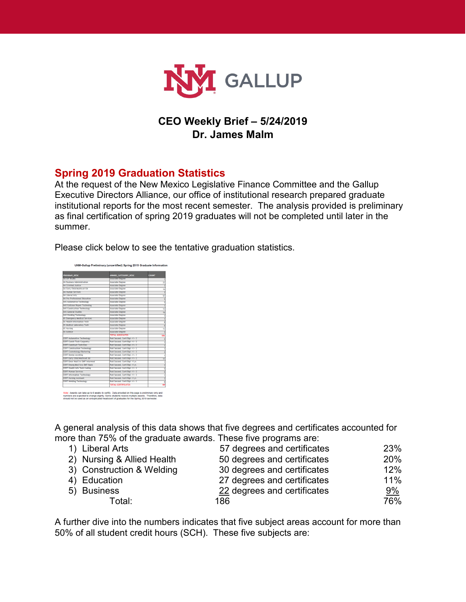

## **CEO Weekly Brief – 5/24/2019 Dr. James Malm**

### **Spring 2019 Graduation Statistics**

At the request of the New Mexico Legislative Finance Committee and the Gallup Executive Directors Alliance, our office of institutional research prepared graduate institutional reports for the most recent semester. The analysis provided is preliminary as final certification of spring 2019 graduates will not be completed until later in the summer.

Please click below to see the tentative graduation statistics.



UNM-Gallup Preliminary (uncertified) Spring 2019 Graduate Information

.<br>Mole : Awards can take up to 6 weeks to certify. Data provided on this page is preliminary only and<br>numbers are expected to change slightly. Some students receive multiple awards. Therefore, data<br>should not be used as an

A general analysis of this data shows that five degrees and certificates accounted for more than 75% of the graduate awards. These five programs are:

| 1) Liberal Arts            | 57 degrees and certificates | 23%   |
|----------------------------|-----------------------------|-------|
| 2) Nursing & Allied Health | 50 degrees and certificates | 20%   |
| 3) Construction & Welding  | 30 degrees and certificates | 12%   |
| 4) Education               | 27 degrees and certificates | 11%   |
| 5) Business                | 22 degrees and certificates | $9\%$ |
| Total:                     | 186                         | 76%   |

A further dive into the numbers indicates that five subject areas account for more than 50% of all student credit hours (SCH). These five subjects are: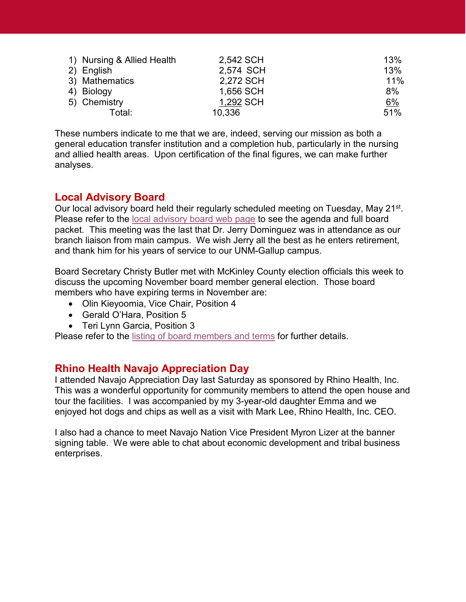| 1) Nursing & Allied Health | 2,542 SCH | 13% |
|----------------------------|-----------|-----|
| 2) English                 | 2,574 SCH | 13% |
| 3) Mathematics             | 2,272 SCH | 11% |
| 4) Biology                 | 1,656 SCH | 8%  |
| 5) Chemistry               | 1,292 SCH | 6%  |
| Total:                     | 10,336    | 51% |

These numbers indicate to me that we are, indeed, serving our mission as both a general education transfer institution and a completion hub, particularly in the nursing and allied health areas. Upon certification of the final figures, we can make further analyses.

#### **Local Advisory Board**

Our local advisory board held their regularly scheduled meeting on Tuesday, May 21<sup>st</sup>. Please refer to the [local advisory board web page](https://gallup.unm.edu/administration/localboard/) to see the agenda and full board packet. This meeting was the last that Dr. Jerry Dominguez was in attendance as our branch liaison from main campus. We wish Jerry all the best as he enters retirement, and thank him for his years of service to our UNM-Gallup campus.

Board Secretary Christy Butler met with McKinley County election officials this week to discuss the upcoming November board member general election. Those board members who have expiring terms in November are:

- Olin Kieyoomia, Vice Chair, Position 4
- Gerald O'Hara, Position 5
- Teri Lynn Garcia, Position 3

Please refer to the [listing of board members and terms](https://gallup.unm.edu/administration/localboard/boardmembers.php) for further details.

#### **Rhino Health Navajo Appreciation Day**

I attended Navajo Appreciation Day last Saturday as sponsored by Rhino Health, Inc. This was a wonderful opportunity for community members to attend the open house and tour the facilities. I was accompanied by my 3-year-old daughter Emma and we enjoyed hot dogs and chips as well as a visit with Mark Lee, Rhino Health, Inc. CEO.

I also had a chance to meet Navajo Nation Vice President Myron Lizer at the banner signing table. We were able to chat about economic development and tribal business enterprises.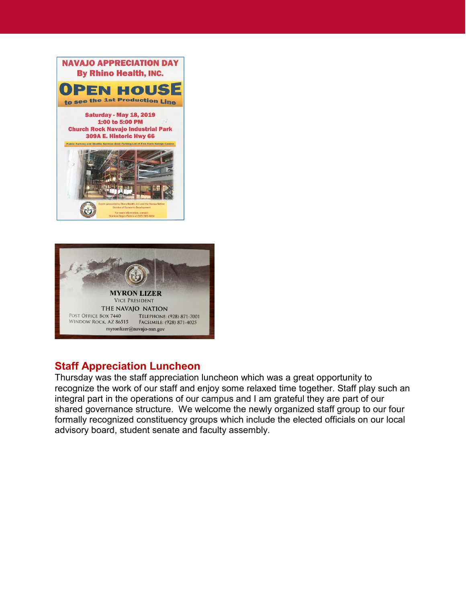



#### **Staff Appreciation Luncheon**

Thursday was the staff appreciation luncheon which was a great opportunity to recognize the work of our staff and enjoy some relaxed time together. Staff play such an integral part in the operations of our campus and I am grateful they are part of our shared governance structure. We welcome the newly organized staff group to our four formally recognized constituency groups which include the elected officials on our local advisory board, student senate and faculty assembly.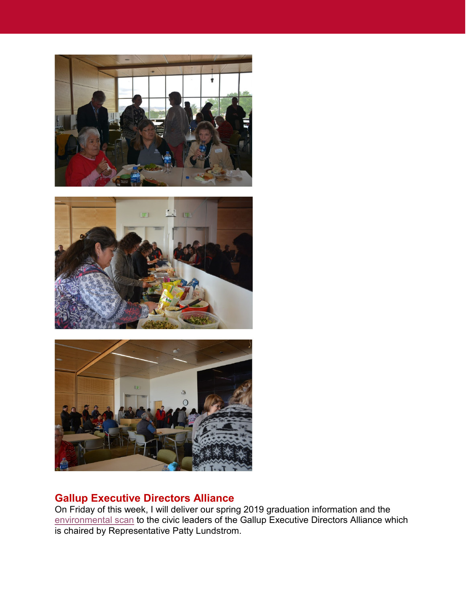





# **Gallup Executive Directors Alliance**

On Friday of this week, I will deliver our spring 2019 graduation information and the [environmental scan](https://gallup.unm.edu/ir/) to the civic leaders of the Gallup Executive Directors Alliance which is chaired by Representative Patty Lundstrom.